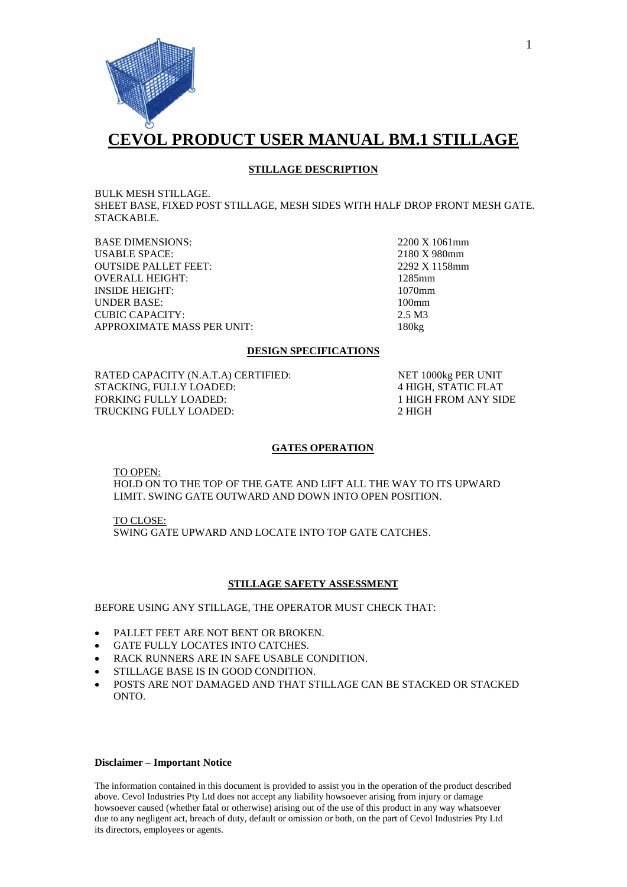

## **STILLAGE DESCRIPTION**

BULK MESH STILLAGE.

SHEET BASE, FIXED POST STILLAGE, MESH SIDES WITH HALF DROP FRONT MESH GATE. STACKABLE.

BASE DIMENSIONS: 2200 X 1061mm<br>USABLE SPACE: 2180 X 980mm USABLE SPACE: 2180 X 980mm<br>
OUTSIDE PALLET FEET: 2292 X 1158mm **OUTSIDE PALLET FEET:** OVERALL HEIGHT: 1285mm INSIDE HEIGHT: 1070mm UNDER BASE: 100mm CUBIC CAPACITY: 2.5 M3 APPROXIMATE MASS PER UNIT: 180kg

# **DESIGN SPECIFICATIONS**

RATED CAPACITY (N.A.T.A) CERTIFIED: NET 1000kg PER UNIT STACKING, FULLY LOADED: 4 HIGH, STATIC FLAT FORKING FULLY LOADED: 1 HIGH FROM ANY SIDE TRUCKING FULLY LOADED: 2 HIGH

#### **GATES OPERATION**

TO OPEN:

HOLD ON TO THE TOP OF THE GATE AND LIFT ALL THE WAY TO ITS UPWARD LIMIT. SWING GATE OUTWARD AND DOWN INTO OPEN POSITION.

SWING GATE UPWARD AND LOCATE INTO TOP GATE CATCHES. TO CLOSE:

#### **STILLAGE SAFETY ASSESSMENT**

BEFORE USING ANY STILLAGE, THE OPERATOR MUST CHECK THAT:

- PALLET FEET ARE NOT BENT OR BROKEN.
- GATE FULLY LOCATES INTO CATCHES.
- RACK RUNNERS ARE IN SAFE USABLE CONDITION.
- STILLAGE BASE IS IN GOOD CONDITION.
- POSTS ARE NOT DAMAGED AND THAT STILLAGE CAN BE STACKED OR STACKED ONTO.

#### **Disclaimer – Important Notice**

The information contained in this document is provided to assist you in the operation of the product described above. Cevol Industries Pty Ltd does not accept any liability howsoever arising from injury or damage howsoever caused (whether fatal or otherwise) arising out of the use of this product in any way whatsoever due to any negligent act, breach of duty, default or omission or both, on the part of Cevol Industries Pty Ltd its directors, employees or agents.